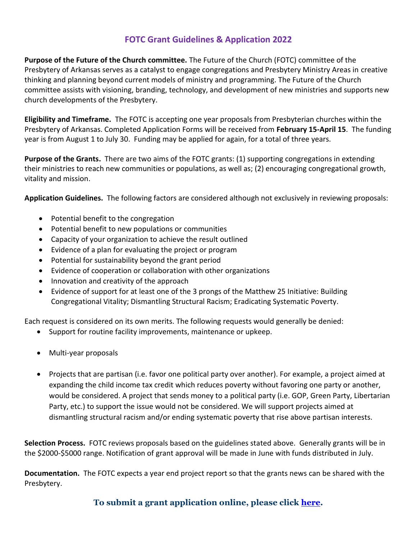## **FOTC Grant Guidelines & Application 2022**

**Purpose of the Future of the Church committee.** The Future of the Church (FOTC) committee of the Presbytery of Arkansas serves as a catalyst to engage congregations and Presbytery Ministry Areas in creative thinking and planning beyond current models of ministry and programming. The Future of the Church committee assists with visioning, branding, technology, and development of new ministries and supports new church developments of the Presbytery.

**Eligibility and Timeframe.** The FOTC is accepting one year proposals from Presbyterian churches within the Presbytery of Arkansas. Completed Application Forms will be received from **February 15-April 15**. The funding year is from August 1 to July 30. Funding may be applied for again, for a total of three years.

**Purpose of the Grants.** There are two aims of the FOTC grants: (1) supporting congregations in extending their ministries to reach new communities or populations, as well as; (2) encouraging congregational growth, vitality and mission.

**Application Guidelines.** The following factors are considered although not exclusively in reviewing proposals:

- Potential benefit to the congregation
- Potential benefit to new populations or communities
- Capacity of your organization to achieve the result outlined
- Evidence of a plan for evaluating the project or program
- Potential for sustainability beyond the grant period
- Evidence of cooperation or collaboration with other organizations
- Innovation and creativity of the approach
- Evidence of support for at least one of the 3 prongs of the Matthew 25 Initiative: Building Congregational Vitality; Dismantling Structural Racism; Eradicating Systematic Poverty.

Each request is considered on its own merits. The following requests would generally be denied:

- Support for routine facility improvements, maintenance or upkeep.
- Multi-year proposals
- Projects that are partisan (i.e. favor one political party over another). For example, a project aimed at expanding the child income tax credit which reduces poverty without favoring one party or another, would be considered. A project that sends money to a political party (i.e. GOP, Green Party, Libertarian Party, etc.) to support the issue would not be considered. We will support projects aimed at dismantling structural racism and/or ending systematic poverty that rise above partisan interests.

**Selection Process.** FOTC reviews proposals based on the guidelines stated above. Generally grants will be in the \$2000-\$5000 range. Notification of grant approval will be made in June with funds distributed in July.

**Documentation.** The FOTC expects a year end project report so that the grants news can be shared with the Presbytery.

## **To submit a grant application online, please click [here.](https://www.cognitoforms.com/PresbyteryOfArkansas/FutureOfTheChurchGrantForm2022)**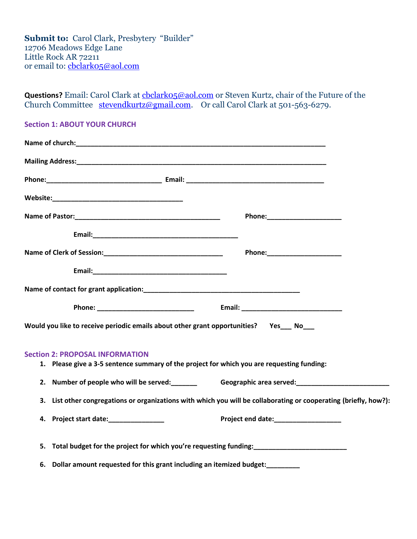**Submit to:** Carol Clark, Presbytery "Builder" 12706 Meadows Edge Lane Little Rock AR 72211 or email to: [cbclark05@aol.com](mailto:cbclark05@aol.com)

**Questions?** Email: Carol Clark at [cbclark05@aol.com](mailto:cbclark05@aol.com) or Steven Kurtz, chair of the Future of the Church Committee [stevendkurtz@gmail.com.](mailto:stevendkurtz@gmail.com) Or call Carol Clark at 501-563-6279.

## **Section 1: ABOUT YOUR CHURCH**

| Would you like to receive periodic emails about other grant opportunities?  Yes___ No___                                             |                                                                                                                                                                 |
|--------------------------------------------------------------------------------------------------------------------------------------|-----------------------------------------------------------------------------------------------------------------------------------------------------------------|
| <b>Section 2: PROPOSAL INFORMATION</b><br>1. Please give a 3-5 sentence summary of the project for which you are requesting funding: |                                                                                                                                                                 |
|                                                                                                                                      | 2. Number of people who will be served:<br><u>Ceographic area served:</u> Contact area served: <u>Contact area served:</u> <u>Contact area served:</u> <u> </u> |
| 3.                                                                                                                                   | List other congregations or organizations with which you will be collaborating or cooperating (briefly, how?):                                                  |
| 4. Project start date:______________                                                                                                 | Project end date:___________________                                                                                                                            |
|                                                                                                                                      |                                                                                                                                                                 |
| 6. Dollar amount requested for this grant including an itemized budget:<br>                                                          |                                                                                                                                                                 |